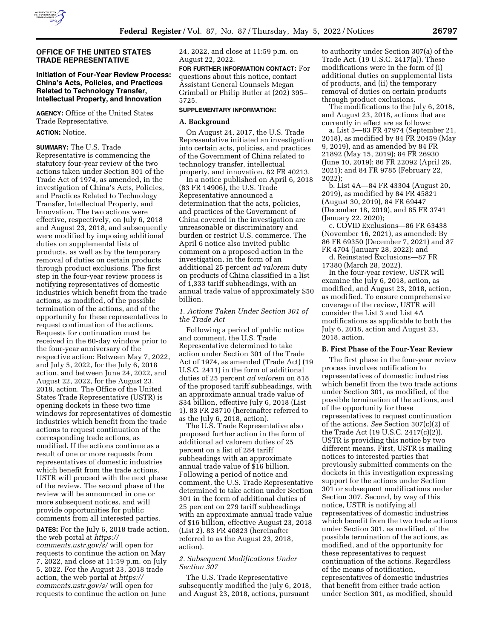

#### **OFFICE OF THE UNITED STATES TRADE REPRESENTATIVE**

# **Initiation of Four-Year Review Process: China's Acts, Policies, and Practices Related to Technology Transfer, Intellectual Property, and Innovation**

**AGENCY:** Office of the United States Trade Representative.

# **ACTION:** Notice.

**SUMMARY:** The U.S. Trade Representative is commencing the statutory four-year review of the two actions taken under Section 301 of the Trade Act of 1974, as amended, in the investigation of China's Acts, Policies, and Practices Related to Technology Transfer, Intellectual Property, and Innovation. The two actions were effective, respectively, on July 6, 2018 and August 23, 2018, and subsequently were modified by imposing additional duties on supplemental lists of products, as well as by the temporary removal of duties on certain products through product exclusions. The first step in the four-year review process is notifying representatives of domestic industries which benefit from the trade actions, as modified, of the possible termination of the actions, and of the opportunity for these representatives to request continuation of the actions. Requests for continuation must be received in the 60-day window prior to the four-year anniversary of the respective action: Between May 7, 2022, and July 5, 2022, for the July 6, 2018 action, and between June 24, 2022, and August 22, 2022, for the August 23, 2018, action. The Office of the United States Trade Representative (USTR) is opening dockets in these two time windows for representatives of domestic industries which benefit from the trade actions to request continuation of the corresponding trade actions, as modified. If the actions continue as a result of one or more requests from representatives of domestic industries which benefit from the trade actions, USTR will proceed with the next phase of the review. The second phase of the review will be announced in one or more subsequent notices, and will provide opportunities for public comments from all interested parties.

**DATES:** For the July 6, 2018 trade action, the web portal at *[https://](https://comments.ustr.gov/s/) [comments.ustr.gov/s/](https://comments.ustr.gov/s/)* will open for requests to continue the action on May 7, 2022, and close at 11:59 p.m. on July 5, 2022. For the August 23, 2018 trade action, the web portal at *[https://](https://comments.ustr.gov/s/) [comments.ustr.gov/s/](https://comments.ustr.gov/s/)* will open for requests to continue the action on June

24, 2022, and close at 11:59 p.m. on August 22, 2022.

**FOR FURTHER INFORMATION CONTACT:** For questions about this notice, contact Assistant General Counsels Megan Grimball or Philip Butler at (202) 395– 5725.

#### **SUPPLEMENTARY INFORMATION:**

#### **A. Background**

On August 24, 2017, the U.S. Trade Representative initiated an investigation into certain acts, policies, and practices of the Government of China related to technology transfer, intellectual property, and innovation. 82 FR 40213.

In a notice published on April 6, 2018 (83 FR 14906), the U.S. Trade Representative announced a determination that the acts, policies, and practices of the Government of China covered in the investigation are unreasonable or discriminatory and burden or restrict U.S. commerce. The April 6 notice also invited public comment on a proposed action in the investigation, in the form of an additional 25 percent *ad valorem* duty on products of China classified in a list of 1,333 tariff subheadings, with an annual trade value of approximately \$50 billion.

#### *1. Actions Taken Under Section 301 of the Trade Act*

Following a period of public notice and comment, the U.S. Trade Representative determined to take action under Section 301 of the Trade Act of 1974, as amended (Trade Act) (19 U.S.C. 2411) in the form of additional duties of 25 percent *ad valorem* on 818 of the proposed tariff subheadings, with an approximate annual trade value of \$34 billion, effective July 6, 2018 (List 1). 83 FR 28710 (hereinafter referred to as the July 6, 2018, action).

The U.S. Trade Representative also proposed further action in the form of additional ad valorem duties of 25 percent on a list of 284 tariff subheadings with an approximate annual trade value of \$16 billion. Following a period of notice and comment, the U.S. Trade Representative determined to take action under Section 301 in the form of additional duties of 25 percent on 279 tariff subheadings with an approximate annual trade value of \$16 billion, effective August 23, 2018 (List 2). 83 FR 40823 (hereinafter referred to as the August 23, 2018, action).

# *2. Subsequent Modifications Under Section 307*

The U.S. Trade Representative subsequently modified the July 6, 2018, and August 23, 2018, actions, pursuant

to authority under Section 307(a) of the Trade Act. (19 U.S.C. 2417(a)). These modifications were in the form of (i) additional duties on supplemental lists of products, and (ii) the temporary removal of duties on certain products through product exclusions.

The modifications to the July 6, 2018, and August 23, 2018, actions that are currently in effect are as follows:

a. List 3—83 FR 47974 (September 21, 2018), as modified by 84 FR 20459 (May 9, 2019), and as amended by 84 FR 21892 (May 15, 2019); 84 FR 26930 (June 10, 2019); 86 FR 22092 (April 26, 2021); and 84 FR 9785 (February 22, 2022);

b. List 4A—84 FR 43304 (August 20, 2019), as modified by 84 FR 45821 (August 30, 2019), 84 FR 69447 (December 18, 2019), and 85 FR 3741 (January 22, 2020);

c. COVID Exclusions—86 FR 63438 (November 16, 2021), as amended: By 86 FR 69350 (December 7, 2021) and 87 FR 4704 (January 28, 2022): and

d. Reinstated Exclusions—87 FR 17380 (March 28, 2022).

In the four-year review, USTR will examine the July 6, 2018, action, as modified, and August 23, 2018, action, as modified. To ensure comprehensive coverage of the review, USTR will consider the List 3 and List 4A modifications as applicable to both the July 6, 2018, action and August 23, 2018, action.

# **B. First Phase of the Four-Year Review**

The first phase in the four-year review process involves notification to representatives of domestic industries which benefit from the two trade actions under Section 301, as modified, of the possible termination of the actions, and of the opportunity for these representatives to request continuation of the actions. *See* Section 307(c)(2) of the Trade Act (19 U.S.C. 2417(c)(2)). USTR is providing this notice by two different means. First, USTR is mailing notices to interested parties that previously submitted comments on the dockets in this investigation expressing support for the actions under Section 301 or subsequent modifications under Section 307. Second, by way of this notice, USTR is notifying all representatives of domestic industries which benefit from the two trade actions under Section 301, as modified, of the possible termination of the actions, as modified, and of the opportunity for these representatives to request continuation of the actions. Regardless of the means of notification, representatives of domestic industries that benefit from either trade action under Section 301, as modified, should